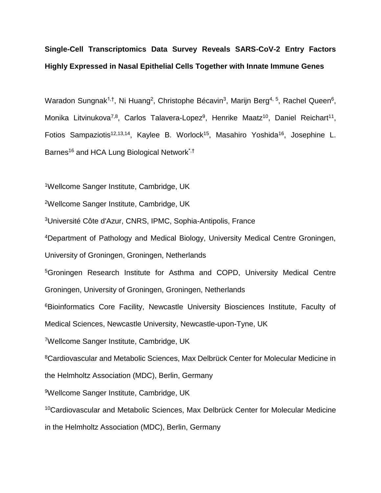# **Single-Cell Transcriptomics Data Survey Reveals SARS-CoV-2 Entry Factors Highly Expressed in Nasal Epithelial Cells Together with Innate Immune Genes**

Waradon Sungnak<sup>1,†</sup>, Ni Huang<sup>2</sup>, Christophe Bécavin<sup>3</sup>, Marijn Berg<sup>4, 5</sup>, Rachel Queen<sup>6</sup>, Monika Litvinukova<sup>7,8</sup>, Carlos Talavera-Lopez<sup>9</sup>, Henrike Maatz<sup>10</sup>, Daniel Reichart<sup>11</sup>, Fotios Sampaziotis<sup>12,13,14</sup>, Kaylee B. Worlock<sup>15</sup>, Masahiro Yoshida<sup>16</sup>, Josephine L. Barnes<sup>16</sup> and HCA Lung Biological Network<sup>\*,†</sup>

<sup>1</sup>Wellcome Sanger Institute, Cambridge, UK

<sup>2</sup>Wellcome Sanger Institute, Cambridge, UK

<sup>3</sup>Université Côte d'Azur, CNRS, IPMC, Sophia-Antipolis, France

<sup>4</sup>Department of Pathology and Medical Biology, University Medical Centre Groningen,

University of Groningen, Groningen, Netherlands

<sup>5</sup>Groningen Research Institute for Asthma and COPD, University Medical Centre Groningen, University of Groningen, Groningen, Netherlands

<sup>6</sup>Bioinformatics Core Facility, Newcastle University Biosciences Institute, Faculty of

Medical Sciences, Newcastle University, Newcastle-upon-Tyne, UK

<sup>7</sup>Wellcome Sanger Institute, Cambridge, UK

<sup>8</sup>Cardiovascular and Metabolic Sciences, Max Delbrück Center for Molecular Medicine in

the Helmholtz Association (MDC), Berlin, Germany

<sup>9</sup>Wellcome Sanger Institute, Cambridge, UK

<sup>10</sup>Cardiovascular and Metabolic Sciences, Max Delbrück Center for Molecular Medicine

in the Helmholtz Association (MDC), Berlin, Germany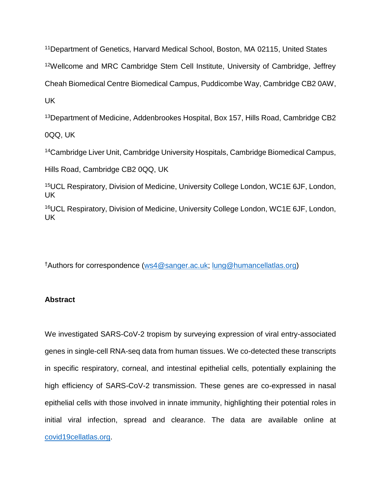<sup>11</sup>Department of Genetics, Harvard Medical School, Boston, MA 02115, United States <sup>12</sup>Wellcome and MRC Cambridge Stem Cell Institute, University of Cambridge, Jeffrey Cheah Biomedical Centre Biomedical Campus, Puddicombe Way, Cambridge CB2 0AW, UK

<sup>13</sup>Department of Medicine, Addenbrookes Hospital, Box 157, Hills Road, Cambridge CB2

0QQ, UK

<sup>14</sup>Cambridge Liver Unit, Cambridge University Hospitals, Cambridge Biomedical Campus,

Hills Road, Cambridge CB2 0QQ, UK

<sup>15</sup>UCL Respiratory, Division of Medicine, University College London, WC1E 6JF, London, UK

<sup>16</sup>UCL Respiratory, Division of Medicine, University College London, WC1E 6JF, London, UK

†Authors for correspondence [\(ws4@sanger.ac.uk;](mailto:ws4@sanger.ac.uk) [lung@humancellatlas.org\)](mailto:lung@humancellatlas.org)

## **Abstract**

We investigated SARS-CoV-2 tropism by surveying expression of viral entry-associated genes in single-cell RNA-seq data from human tissues. We co-detected these transcripts in specific respiratory, corneal, and intestinal epithelial cells, potentially explaining the high efficiency of SARS-CoV-2 transmission. These genes are co-expressed in nasal epithelial cells with those involved in innate immunity, highlighting their potential roles in initial viral infection, spread and clearance. The data are available online at [covid19cellatlas.org.](http://www.covid19cellatlas.org/)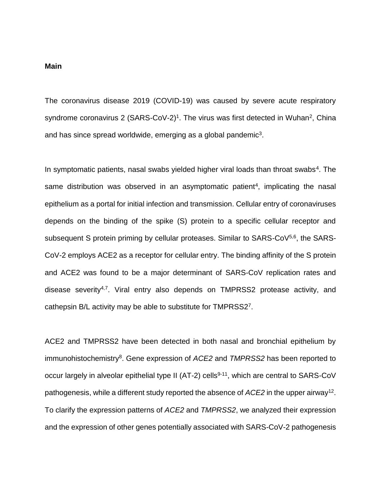#### **Main**

The coronavirus disease 2019 (COVID-19) was caused by severe acute respiratory syndrome coronavirus 2 (SARS-CoV-2)<sup>1</sup>. The virus was first detected in Wuhan<sup>2</sup>, China and has since spread worldwide, emerging as a global pandemic<sup>3</sup>.

In symptomatic patients, nasal swabs yielded higher viral loads than throat swabs<sup>4</sup>. The same distribution was observed in an asymptomatic patient<sup>4</sup>, implicating the nasal epithelium as a portal for initial infection and transmission. Cellular entry of coronaviruses depends on the binding of the spike (S) protein to a specific cellular receptor and subsequent S protein priming by cellular proteases. Similar to SARS-CoV<sup>5,6</sup>, the SARS-CoV-2 employs ACE2 as a receptor for cellular entry. The binding affinity of the S protein and ACE2 was found to be a major determinant of SARS-CoV replication rates and disease severity<sup>4,7</sup>. Viral entry also depends on TMPRSS2 protease activity, and cathepsin B/L activity may be able to substitute for TMPRSS2<sup>7</sup>.

ACE2 and TMPRSS2 have been detected in both nasal and bronchial epithelium by immunohistochemistry<sup>8</sup>. Gene expression of *ACE2* and *TMPRSS2* has been reported to occur largely in alveolar epithelial type II (AT-2) cells<sup>9-11</sup>, which are central to SARS-CoV pathogenesis, while a different study reported the absence of ACE2 in the upper airway<sup>12</sup>. To clarify the expression patterns of *ACE2* and *TMPRSS2*, we analyzed their expression and the expression of other genes potentially associated with SARS-CoV-2 pathogenesis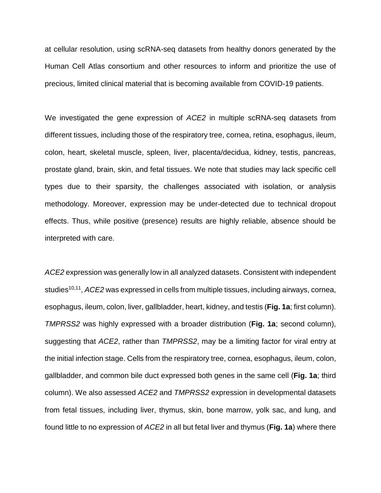at cellular resolution, using scRNA-seq datasets from healthy donors generated by the Human Cell Atlas consortium and other resources to inform and prioritize the use of precious, limited clinical material that is becoming available from COVID-19 patients.

We investigated the gene expression of *ACE2* in multiple scRNA-seq datasets from different tissues, including those of the respiratory tree, cornea, retina, esophagus, ileum, colon, heart, skeletal muscle, spleen, liver, placenta/decidua, kidney, testis, pancreas, prostate gland, brain, skin, and fetal tissues. We note that studies may lack specific cell types due to their sparsity, the challenges associated with isolation, or analysis methodology. Moreover, expression may be under-detected due to technical dropout effects. Thus, while positive (presence) results are highly reliable, absence should be interpreted with care.

*ACE2* expression was generally low in all analyzed datasets. Consistent with independent studies 10,11 , *ACE2* was expressed in cells from multiple tissues, including airways, cornea, esophagus, ileum, colon, liver, gallbladder, heart, kidney, and testis (**Fig. 1a**; first column). *TMPRSS2* was highly expressed with a broader distribution (**Fig. 1a**; second column), suggesting that *ACE2*, rather than *TMPRSS2*, may be a limiting factor for viral entry at the initial infection stage. Cells from the respiratory tree, cornea, esophagus, ileum, colon, gallbladder, and common bile duct expressed both genes in the same cell (**Fig. 1a**; third column). We also assessed *ACE2* and *TMPRSS2* expression in developmental datasets from fetal tissues, including liver, thymus, skin, bone marrow, yolk sac, and lung, and found little to no expression of *ACE2* in all but fetal liver and thymus (**Fig. 1a**) where there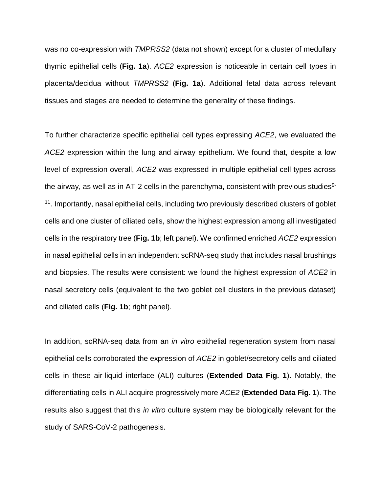was no co-expression with *TMPRSS2* (data not shown) except for a cluster of medullary thymic epithelial cells (**Fig. 1a**). *ACE2* expression is noticeable in certain cell types in placenta/decidua without *TMPRSS2* (**Fig. 1a**). Additional fetal data across relevant tissues and stages are needed to determine the generality of these findings.

To further characterize specific epithelial cell types expressing *ACE2*, we evaluated the *ACE2* expression within the lung and airway epithelium. We found that, despite a low level of expression overall, *ACE2* was expressed in multiple epithelial cell types across the airway, as well as in AT-2 cells in the parenchyma, consistent with previous studies<sup>9-</sup> <sup>11</sup>. Importantly, nasal epithelial cells, including two previously described clusters of goblet cells and one cluster of ciliated cells, show the highest expression among all investigated cells in the respiratory tree (**Fig. 1b**; left panel). We confirmed enriched *ACE2* expression in nasal epithelial cells in an independent scRNA-seq study that includes nasal brushings and biopsies. The results were consistent: we found the highest expression of *ACE2* in nasal secretory cells (equivalent to the two goblet cell clusters in the previous dataset) and ciliated cells (**Fig. 1b**; right panel).

In addition, scRNA-seq data from an *in vitro* epithelial regeneration system from nasal epithelial cells corroborated the expression of *ACE2* in goblet/secretory cells and ciliated cells in these air-liquid interface (ALI) cultures (**Extended Data Fig. 1**). Notably, the differentiating cells in ALI acquire progressively more *ACE2* (**Extended Data Fig. 1**). The results also suggest that this *in vitro* culture system may be biologically relevant for the study of SARS-CoV-2 pathogenesis.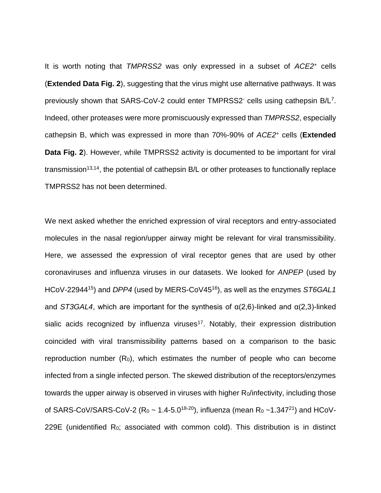It is worth noting that *TMPRSS2* was only expressed in a subset of *ACE2*<sup>+</sup> cells (**Extended Data Fig. 2**), suggesting that the virus might use alternative pathways. It was previously shown that SARS-CoV-2 could enter TMPRSS2 cells using cathepsin B/L<sup>7</sup>. Indeed, other proteases were more promiscuously expressed than *TMPRSS2*, especially cathepsin B, which was expressed in more than 70%-90% of *ACE2*<sup>+</sup> cells (**Extended Data Fig. 2**). However, while TMPRSS2 activity is documented to be important for viral transmission<sup>13,14</sup>, the potential of cathepsin  $B/L$  or other proteases to functionally replace TMPRSS2 has not been determined.

We next asked whether the enriched expression of viral receptors and entry-associated molecules in the nasal region/upper airway might be relevant for viral transmissibility. Here, we assessed the expression of viral receptor genes that are used by other coronaviruses and influenza viruses in our datasets. We looked for *ANPEP* (used by HCoV-22944<sup>15</sup>) and *DPP4* (used by MERS-CoV45<sup>16</sup>), as well as the enzymes *ST6GAL1* and *ST3GAL4*, which are important for the synthesis of α(2,6)-linked and α(2,3)-linked sialic acids recognized by influenza viruses<sup>17</sup>. Notably, their expression distribution coincided with viral transmissibility patterns based on a comparison to the basic reproduction number  $(R_0)$ , which estimates the number of people who can become infected from a single infected person. The skewed distribution of the receptors/enzymes towards the upper airway is observed in viruses with higher R<sub>0</sub>/infectivity, including those of SARS-CoV/SARS-CoV-2 ( $R_0 \sim 1.4$ -5.0<sup>18-20</sup>), influenza (mean  $R_0 \sim 1.347^{21}$ ) and HCoV-229E (unidentified  $R_0$ ; associated with common cold). This distribution is in distinct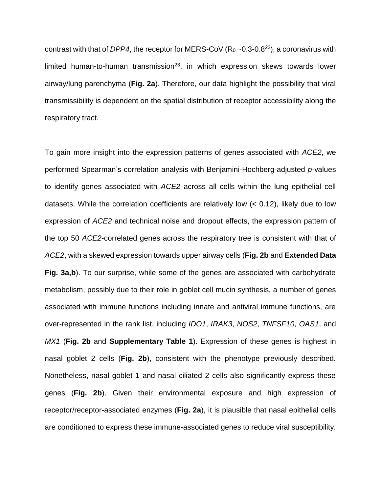contrast with that of *DPP4*, the receptor for MERS-CoV  $(R_0 \sim 0.3 - 0.8^{22})$ , a coronavirus with limited human-to-human transmission<sup>23</sup>, in which expression skews towards lower airway/lung parenchyma (**Fig. 2a**). Therefore, our data highlight the possibility that viral transmissibility is dependent on the spatial distribution of receptor accessibility along the respiratory tract.

To gain more insight into the expression patterns of genes associated with *ACE2*, we performed Spearman's correlation analysis with Benjamini-Hochberg-adjusted *p*-values to identify genes associated with *ACE2* across all cells within the lung epithelial cell datasets. While the correlation coefficients are relatively low (< 0.12), likely due to low expression of *ACE2* and technical noise and dropout effects, the expression pattern of the top 50 *ACE2*-correlated genes across the respiratory tree is consistent with that of *ACE2*, with a skewed expression towards upper airway cells (**Fig. 2b** and **Extended Data Fig. 3a,b**). To our surprise, while some of the genes are associated with carbohydrate metabolism, possibly due to their role in goblet cell mucin synthesis, a number of genes associated with immune functions including innate and antiviral immune functions, are over-represented in the rank list, including *IDO1*, *IRAK3*, *NOS2*, *TNFSF10*, *OAS1*, and *MX1* (**Fig. 2b** and **Supplementary Table 1**). Expression of these genes is highest in nasal goblet 2 cells (**Fig. 2b**), consistent with the phenotype previously described. Nonetheless, nasal goblet 1 and nasal ciliated 2 cells also significantly express these genes (**Fig. 2b**). Given their environmental exposure and high expression of receptor/receptor-associated enzymes (**Fig. 2a**), it is plausible that nasal epithelial cells are conditioned to express these immune-associated genes to reduce viral susceptibility.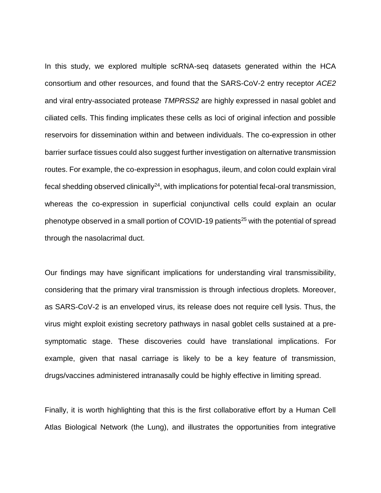In this study, we explored multiple scRNA-seq datasets generated within the HCA consortium and other resources, and found that the SARS-CoV-2 entry receptor *ACE2* and viral entry-associated protease *TMPRSS2* are highly expressed in nasal goblet and ciliated cells. This finding implicates these cells as loci of original infection and possible reservoirs for dissemination within and between individuals. The co-expression in other barrier surface tissues could also suggest further investigation on alternative transmission routes. For example, the co-expression in esophagus, ileum, and colon could explain viral fecal shedding observed clinically<sup>24</sup>, with implications for potential fecal-oral transmission, whereas the co-expression in superficial conjunctival cells could explain an ocular phenotype observed in a small portion of COVID-19 patients<sup>25</sup> with the potential of spread through the nasolacrimal duct.

Our findings may have significant implications for understanding viral transmissibility, considering that the primary viral transmission is through infectious droplets. Moreover, as SARS-CoV-2 is an enveloped virus, its release does not require cell lysis. Thus, the virus might exploit existing secretory pathways in nasal goblet cells sustained at a presymptomatic stage. These discoveries could have translational implications. For example, given that nasal carriage is likely to be a key feature of transmission, drugs/vaccines administered intranasally could be highly effective in limiting spread.

Finally, it is worth highlighting that this is the first collaborative effort by a Human Cell Atlas Biological Network (the Lung), and illustrates the opportunities from integrative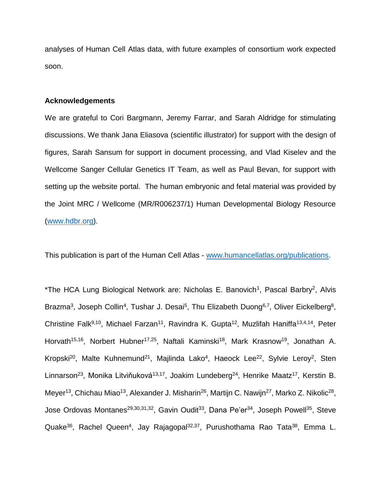analyses of Human Cell Atlas data, with future examples of consortium work expected soon.

#### **Acknowledgements**

We are grateful to Cori Bargmann, Jeremy Farrar, and Sarah Aldridge for stimulating discussions. We thank Jana Eliasova (scientific illustrator) for support with the design of figures, Sarah Sansum for support in document processing, and Vlad Kiselev and the Wellcome Sanger Cellular Genetics IT Team, as well as Paul Bevan, for support with setting up the website portal. The human embryonic and fetal material was provided by the Joint MRC / Wellcome (MR/R006237/1) Human Developmental Biology Resource [\(www.hdbr.org\)](http://www.hdbr.org/).

This publication is part of the Human Cell Atlas - [www.humancellatlas.org/publications.](http://www.humancellatlas.org/publications)

\*The HCA Lung Biological Network are: Nicholas E. Banovich<sup>1</sup>, Pascal Barbry<sup>2</sup>, Alvis Brazma<sup>3</sup>, Joseph Collin<sup>4</sup>, Tushar J. Desai<sup>5</sup>, Thu Elizabeth Duong<sup>6,7</sup>, Oliver Eickelberg<sup>8</sup>, Christine Falk<sup>9,10</sup>, Michael Farzan<sup>11</sup>, Ravindra K. Gupta<sup>12</sup>, Muzlifah Haniffa<sup>13,4,14</sup>, Peter Horvath<sup>15,16</sup>, Norbert Hubner<sup>17,25</sup>, Naftali Kaminski<sup>18</sup>, Mark Krasnow<sup>19</sup>, Jonathan A. Kropski<sup>20</sup>, Malte Kuhnemund<sup>21</sup>, Majlinda Lako<sup>4</sup>, Haeock Lee<sup>22</sup>, Sylvie Leroy<sup>2</sup>, Sten Linnarson<sup>23</sup>, Monika Litviňuková<sup>13,17</sup>, Joakim Lundeberg<sup>24</sup>, Henrike Maatz<sup>17</sup>, Kerstin B. Meyer<sup>13</sup>, Chichau Miao<sup>13</sup>, Alexander J. Misharin<sup>26</sup>, Martijn C. Nawijn<sup>27</sup>, Marko Z. Nikolic<sup>28</sup>, Jose Ordovas Montanes<sup>29,30,31,32</sup>, Gavin Oudit<sup>33</sup>, Dana Pe'er<sup>34</sup>, Joseph Powell<sup>35</sup>, Steve Quake<sup>36</sup>, Rachel Queen<sup>4</sup>, Jay Rajagopal<sup>32,37</sup>, Purushothama Rao Tata<sup>38</sup>, Emma L.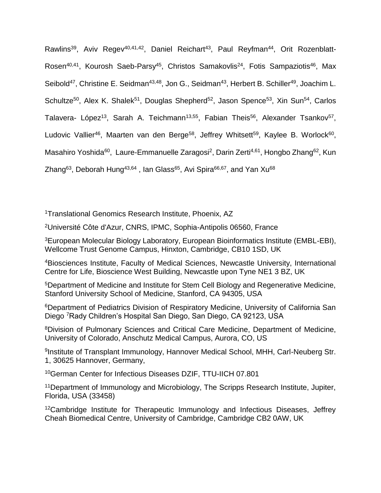Rawlins<sup>39</sup>, Aviv Regev<sup>40,41,42</sup>, Daniel Reichart<sup>43</sup>, Paul Reyfman<sup>44</sup>, Orit Rozenblatt-Rosen<sup>40,41</sup>, Kourosh Saeb-Parsy<sup>45</sup>, Christos Samakovlis<sup>24</sup>, Fotis Sampaziotis<sup>46</sup>, Max Seibold<sup>47</sup>, Christine E. Seidman<sup>43,48</sup>, Jon G., Seidman<sup>43</sup>, Herbert B. Schiller<sup>49</sup>, Joachim L. Schultze<sup>50</sup>, Alex K. Shalek<sup>51</sup>, Douglas Shepherd<sup>52</sup>, Jason Spence<sup>53</sup>, Xin Sun<sup>54</sup>, Carlos Talavera- López<sup>13</sup>, Sarah A. Teichmann<sup>13,55</sup>, Fabian Theis<sup>56</sup>, Alexander Tsankov<sup>57</sup>, Ludovic Vallier<sup>46</sup>, Maarten van den Berge<sup>58</sup>, Jeffrey Whitsett<sup>59</sup>, Kaylee B. Worlock<sup>60</sup>, Masahiro Yoshida<sup>60</sup>, Laure-Emmanuelle Zaragosi<sup>2</sup>, Darin Zerti<sup>4,61</sup>, Hongbo Zhang<sup>62</sup>, Kun Zhang<sup>63</sup>, Deborah Hung<sup>43,64</sup>, Ian Glass<sup>65</sup>, Avi Spira<sup>66,67</sup>, and Yan Xu<sup>68</sup>

<sup>1</sup>Translational Genomics Research Institute, Phoenix, AZ

<sup>2</sup>Université Côte d'Azur, CNRS, IPMC, Sophia-Antipolis 06560, France

<sup>3</sup>European Molecular Biology Laboratory, European Bioinformatics Institute (EMBL-EBI), Wellcome Trust Genome Campus, Hinxton, Cambridge, CB10 1SD, UK

<sup>4</sup>Biosciences Institute, Faculty of Medical Sciences, Newcastle University, International Centre for Life, Bioscience West Building, Newcastle upon Tyne NE1 3 BZ, UK

<sup>5</sup>Department of Medicine and Institute for Stem Cell Biology and Regenerative Medicine, Stanford University School of Medicine, Stanford, CA 94305, USA

<sup>6</sup>Department of Pediatrics Division of Respiratory Medicine, University of California San Diego <sup>7</sup>Rady Children's Hospital San Diego, San Diego, CA 92123, USA

<sup>8</sup>Division of Pulmonary Sciences and Critical Care Medicine, Department of Medicine, University of Colorado, Anschutz Medical Campus, Aurora, CO, US

9 Institute of Transplant Immunology, Hannover Medical School, MHH, Carl-Neuberg Str. 1, 30625 Hannover, Germany,

<sup>10</sup>German Center for Infectious Diseases DZIF, TTU-IICH 07.801

<sup>11</sup>Department of Immunology and Microbiology, The Scripps Research Institute, Jupiter, Florida, USA (33458)

<sup>12</sup>Cambridge Institute for Therapeutic Immunology and Infectious Diseases, Jeffrey Cheah Biomedical Centre, University of Cambridge, Cambridge CB2 0AW, UK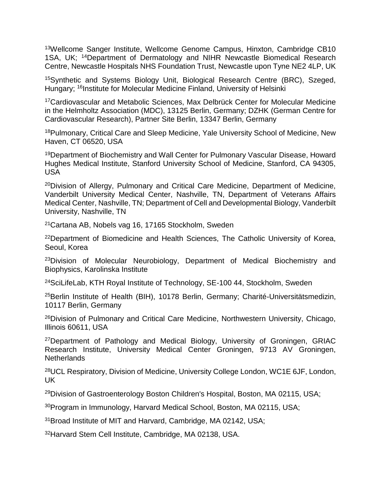<sup>13</sup>Wellcome Sanger Institute, Wellcome Genome Campus, Hinxton, Cambridge CB10 1SA, UK; <sup>14</sup>Department of Dermatology and NIHR Newcastle Biomedical Research Centre, Newcastle Hospitals NHS Foundation Trust, Newcastle upon Tyne NE2 4LP, UK

<sup>15</sup>Synthetic and Systems Biology Unit, Biological Research Centre (BRC), Szeged, Hungary; <sup>16</sup>Institute for Molecular Medicine Finland, University of Helsinki

<sup>17</sup>Cardiovascular and Metabolic Sciences, Max Delbrück Center for Molecular Medicine in the Helmholtz Association (MDC), 13125 Berlin, Germany; DZHK (German Centre for Cardiovascular Research), Partner Site Berlin, 13347 Berlin, Germany

<sup>18</sup>Pulmonary, Critical Care and Sleep Medicine, Yale University School of Medicine, New Haven, CT 06520, USA

<sup>19</sup>Department of Biochemistry and Wall Center for Pulmonary Vascular Disease, Howard Hughes Medical Institute, Stanford University School of Medicine, Stanford, CA 94305, USA

<sup>20</sup>Division of Allergy, Pulmonary and Critical Care Medicine, Department of Medicine, Vanderbilt University Medical Center, Nashville, TN, Department of Veterans Affairs Medical Center, Nashville, TN; Department of Cell and Developmental Biology, Vanderbilt University, Nashville, TN

<sup>21</sup>Cartana AB, Nobels vag 16, 17165 Stockholm, Sweden

<sup>22</sup>Department of Biomedicine and Health Sciences, The Catholic University of Korea, Seoul, Korea

<sup>23</sup>Division of Molecular Neurobiology, Department of Medical Biochemistry and Biophysics, Karolinska Institute

<sup>24</sup>SciLifeLab, KTH Royal Institute of Technology, SE-100 44, Stockholm, Sweden

<sup>25</sup>Berlin Institute of Health (BIH), 10178 Berlin, Germany; Charité-Universitätsmedizin, 10117 Berlin, Germany

<sup>26</sup>Division of Pulmonary and Critical Care Medicine, Northwestern University, Chicago, Illinois 60611, USA

<sup>27</sup>Department of Pathology and Medical Biology, University of Groningen, GRIAC Research Institute, University Medical Center Groningen, 9713 AV Groningen, **Netherlands** 

<sup>28</sup>UCL Respiratory, Division of Medicine, University College London, WC1E 6JF, London, UK

<sup>29</sup>Division of Gastroenterology Boston Children's Hospital, Boston, MA 02115, USA;

<sup>30</sup>Program in Immunology, Harvard Medical School, Boston, MA 02115, USA;

<sup>31</sup>Broad Institute of MIT and Harvard, Cambridge, MA 02142, USA;

32Harvard Stem Cell Institute, Cambridge, MA 02138, USA.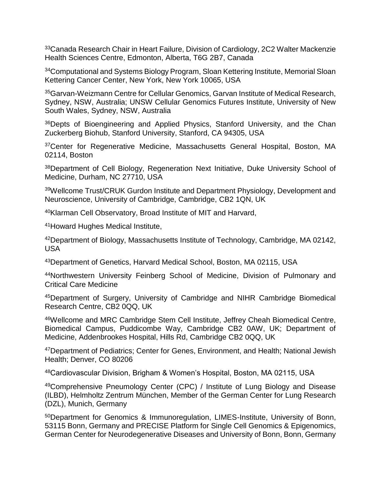<sup>33</sup>Canada Research Chair in Heart Failure, Division of Cardiology, 2C2 Walter Mackenzie Health Sciences Centre, Edmonton, Alberta, T6G 2B7, Canada

<sup>34</sup>Computational and Systems Biology Program, Sloan Kettering Institute, Memorial Sloan Kettering Cancer Center, New York, New York 10065, USA

<sup>35</sup>Garvan-Weizmann Centre for Cellular Genomics, Garvan Institute of Medical Research, Sydney, NSW, Australia; UNSW Cellular Genomics Futures Institute, University of New South Wales, Sydney, NSW, Australia

<sup>36</sup>Depts of Bioengineering and Applied Physics, Stanford University, and the Chan Zuckerberg Biohub, Stanford University, Stanford, CA 94305, USA

<sup>37</sup>Center for Regenerative Medicine, Massachusetts General Hospital, Boston, MA 02114, Boston

<sup>38</sup>Department of Cell Biology, Regeneration Next Initiative, Duke University School of Medicine, Durham, NC 27710, USA

<sup>39</sup>Wellcome Trust/CRUK Gurdon Institute and Department Physiology, Development and Neuroscience, University of Cambridge, Cambridge, CB2 1QN, UK

<sup>40</sup>Klarman Cell Observatory, Broad Institute of MIT and Harvard,

<sup>41</sup>Howard Hughes Medical Institute,

<sup>42</sup>Department of Biology, Massachusetts Institute of Technology, Cambridge, MA 02142, USA

<sup>43</sup>Department of Genetics, Harvard Medical School, Boston, MA 02115, USA

<sup>44</sup>Northwestern University Feinberg School of Medicine, Division of Pulmonary and Critical Care Medicine

<sup>45</sup>Department of Surgery, University of Cambridge and NIHR Cambridge Biomedical Research Centre, CB2 0QQ, UK

<sup>46</sup>Wellcome and MRC Cambridge Stem Cell Institute, Jeffrey Cheah Biomedical Centre, Biomedical Campus, Puddicombe Way, Cambridge CB2 0AW, UK; Department of Medicine, Addenbrookes Hospital, Hills Rd, Cambridge CB2 0QQ, UK

<sup>47</sup>Department of Pediatrics; Center for Genes, Environment, and Health; National Jewish Health; Denver, CO 80206

<sup>48</sup>Cardiovascular Division, Brigham & Women's Hospital, Boston, MA 02115, USA

<sup>49</sup>Comprehensive Pneumology Center (CPC) / Institute of Lung Biology and Disease (ILBD), Helmholtz Zentrum München, Member of the German Center for Lung Research (DZL), Munich, Germany

<sup>50</sup>Department for Genomics & Immunoregulation, LIMES-Institute, University of Bonn, 53115 Bonn, Germany and PRECISE Platform for Single Cell Genomics & Epigenomics, German Center for Neurodegenerative Diseases and University of Bonn, Bonn, Germany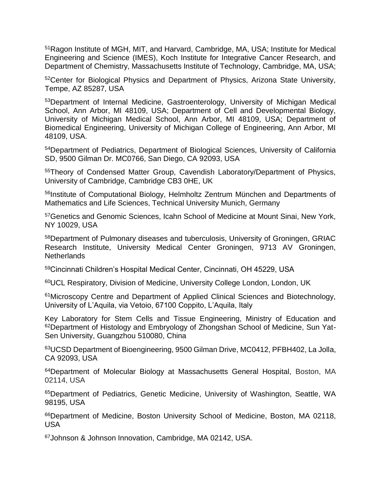<sup>51</sup>Ragon Institute of MGH, MIT, and Harvard, Cambridge, MA, USA; Institute for Medical Engineering and Science (IMES), Koch Institute for Integrative Cancer Research, and Department of Chemistry, Massachusetts Institute of Technology, Cambridge, MA, USA;

<sup>52</sup>Center for Biological Physics and Department of Physics, Arizona State University, Tempe, AZ 85287, USA

<sup>53</sup>Department of Internal Medicine, Gastroenterology, University of Michigan Medical School, Ann Arbor, MI 48109, USA; Department of Cell and Developmental Biology, University of Michigan Medical School, Ann Arbor, MI 48109, USA; Department of Biomedical Engineering, University of Michigan College of Engineering, Ann Arbor, MI 48109, USA.

<sup>54</sup>Department of Pediatrics, Department of Biological Sciences, University of California SD, 9500 Gilman Dr. MC0766, San Diego, CA 92093, USA

<sup>55</sup>Theory of Condensed Matter Group, Cavendish Laboratory/Department of Physics, University of Cambridge, Cambridge CB3 0HE, UK

<sup>56</sup>Institute of Computational Biology, Helmholtz Zentrum München and Departments of Mathematics and Life Sciences, Technical University Munich, Germany

<sup>57</sup>Genetics and Genomic Sciences, Icahn School of Medicine at Mount Sinai, New York, NY 10029, USA

<sup>58</sup>Department of Pulmonary diseases and tuberculosis, University of Groningen, GRIAC Research Institute, University Medical Center Groningen, 9713 AV Groningen, **Netherlands** 

<sup>59</sup>Cincinnati Children's Hospital Medical Center, Cincinnati, OH 45229, USA

<sup>60</sup>UCL Respiratory, Division of Medicine, University College London, London, UK

<sup>61</sup>Microscopy Centre and Department of Applied Clinical Sciences and Biotechnology, University of L'Aquila, via Vetoio, 67100 Coppito, L'Aquila, Italy

Key Laboratory for Stem Cells and Tissue Engineering, Ministry of Education and <sup>62</sup>Department of Histology and Embryology of Zhongshan School of Medicine, Sun Yat-Sen University, Guangzhou 510080, China

<sup>63</sup>UCSD Department of Bioengineering, 9500 Gilman Drive, MC0412, PFBH402, La Jolla, CA 92093, USA

<sup>64</sup>Department of Molecular Biology at Massachusetts General Hospital, Boston, MA 02114, USA

<sup>65</sup>Department of Pediatrics, Genetic Medicine, University of Washington, Seattle, WA 98195, USA

<sup>66</sup>Department of Medicine, Boston University School of Medicine, Boston, MA 02118, USA

67Johnson & Johnson Innovation, Cambridge, MA 02142, USA.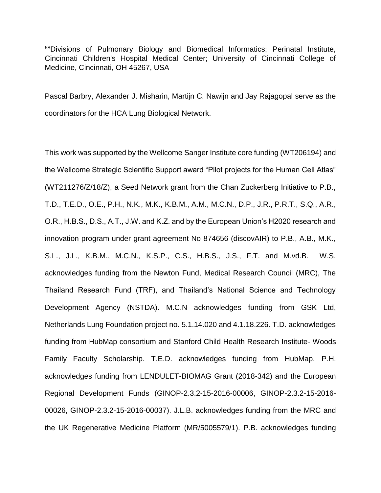<sup>68</sup>Divisions of Pulmonary Biology and Biomedical Informatics; Perinatal Institute, Cincinnati Children's Hospital Medical Center; University of Cincinnati College of Medicine, Cincinnati, OH 45267, USA

Pascal Barbry, Alexander J. Misharin, Martijn C. Nawijn and Jay Rajagopal serve as the coordinators for the HCA Lung Biological Network.

This work was supported by the Wellcome Sanger Institute core funding (WT206194) and the Wellcome Strategic Scientific Support award "Pilot projects for the Human Cell Atlas" (WT211276/Z/18/Z), a Seed Network grant from the Chan Zuckerberg Initiative to P.B., T.D., T.E.D., O.E., P.H., N.K., M.K., K.B.M., A.M., M.C.N., D.P., J.R., P.R.T., S.Q., A.R., O.R., H.B.S., D.S., A.T., J.W. and K.Z. and by the European Union's H2020 research and innovation program under grant agreement No 874656 (discovAIR) to P.B., A.B., M.K., S.L., J.L., K.B.M., M.C.N., K.S.P., C.S., H.B.S., J.S., F.T. and M.vd.B. W.S. acknowledges funding from the Newton Fund, Medical Research Council (MRC), The Thailand Research Fund (TRF), and Thailand's National Science and Technology Development Agency (NSTDA). M.C.N acknowledges funding from GSK Ltd, Netherlands Lung Foundation project no. 5.1.14.020 and 4.1.18.226. T.D. acknowledges funding from HubMap consortium and Stanford Child Health Research Institute- Woods Family Faculty Scholarship. T.E.D. acknowledges funding from HubMap. P.H. acknowledges funding from LENDULET-BIOMAG Grant (2018-342) and the European Regional Development Funds (GINOP-2.3.2-15-2016-00006, GINOP-2.3.2-15-2016- 00026, GINOP-2.3.2-15-2016-00037). J.L.B. acknowledges funding from the MRC and the UK Regenerative Medicine Platform (MR/5005579/1). P.B. acknowledges funding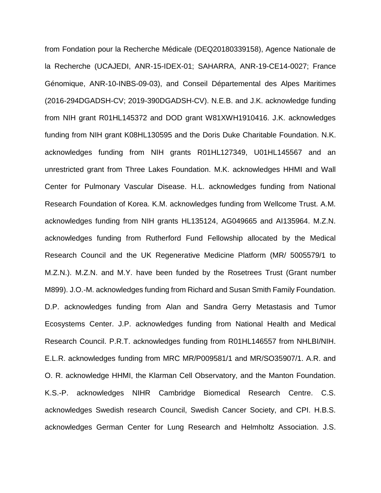from Fondation pour la Recherche Médicale (DEQ20180339158), Agence Nationale de la Recherche (UCAJEDI, ANR-15-IDEX-01; SAHARRA, ANR-19-CE14-0027; France Génomique, ANR-10-INBS-09-03), and Conseil Départemental des Alpes Maritimes (2016-294DGADSH-CV; 2019-390DGADSH-CV). N.E.B. and J.K. acknowledge funding from NIH grant R01HL145372 and DOD grant W81XWH1910416. J.K. acknowledges funding from NIH grant K08HL130595 and the Doris Duke Charitable Foundation. N.K. acknowledges funding from NIH grants R01HL127349, U01HL145567 and an unrestricted grant from Three Lakes Foundation. M.K. acknowledges HHMI and Wall Center for Pulmonary Vascular Disease. H.L. acknowledges funding from National Research Foundation of Korea. K.M. acknowledges funding from Wellcome Trust. A.M. acknowledges funding from NIH grants HL135124, AG049665 and AI135964. M.Z.N. acknowledges funding from Rutherford Fund Fellowship allocated by the Medical Research Council and the UK Regenerative Medicine Platform (MR/ 5005579/1 to M.Z.N.). M.Z.N. and M.Y. have been funded by the Rosetrees Trust (Grant number M899). J.O.-M. acknowledges funding from Richard and Susan Smith Family Foundation. D.P. acknowledges funding from Alan and Sandra Gerry Metastasis and Tumor Ecosystems Center. J.P. acknowledges funding from National Health and Medical Research Council. P.R.T. acknowledges funding from R01HL146557 from NHLBI/NIH. E.L.R. acknowledges funding from MRC MR/P009581/1 and MR/SO35907/1. A.R. and O. R. acknowledge HHMI, the Klarman Cell Observatory, and the Manton Foundation. K.S.-P. acknowledges NIHR Cambridge Biomedical Research Centre. C.S. acknowledges Swedish research Council, Swedish Cancer Society, and CPI. H.B.S. acknowledges German Center for Lung Research and Helmholtz Association. J.S.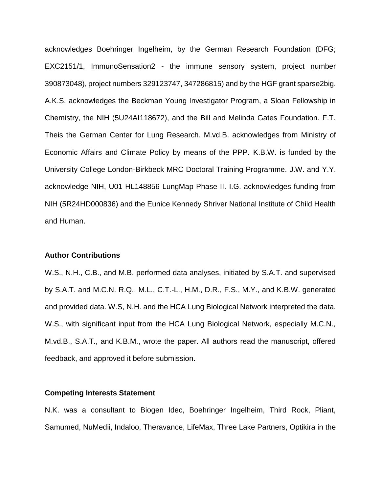acknowledges Boehringer Ingelheim, by the German Research Foundation (DFG; EXC2151/1, ImmunoSensation2 - the immune sensory system, project number 390873048), project numbers 329123747, 347286815) and by the HGF grant sparse2big. A.K.S. acknowledges the Beckman Young Investigator Program, a Sloan Fellowship in Chemistry, the NIH (5U24AI118672), and the Bill and Melinda Gates Foundation. F.T. Theis the German Center for Lung Research. M.vd.B. acknowledges from Ministry of Economic Affairs and Climate Policy by means of the PPP. K.B.W. is funded by the University College London-Birkbeck MRC Doctoral Training Programme. J.W. and Y.Y. acknowledge NIH, U01 HL148856 LungMap Phase II. I.G. acknowledges funding from NIH (5R24HD000836) and the Eunice Kennedy Shriver National Institute of Child Health and Human.

#### **Author Contributions**

W.S., N.H., C.B., and M.B. performed data analyses, initiated by S.A.T. and supervised by S.A.T. and M.C.N. R.Q., M.L., C.T.-L., H.M., D.R., F.S., M.Y., and K.B.W. generated and provided data. W.S, N.H. and the HCA Lung Biological Network interpreted the data. W.S., with significant input from the HCA Lung Biological Network, especially M.C.N., M.vd.B., S.A.T., and K.B.M., wrote the paper. All authors read the manuscript, offered feedback, and approved it before submission.

#### **Competing Interests Statement**

N.K. was a consultant to Biogen Idec, Boehringer Ingelheim, Third Rock, Pliant, Samumed, NuMedii, Indaloo, Theravance, LifeMax, Three Lake Partners, Optikira in the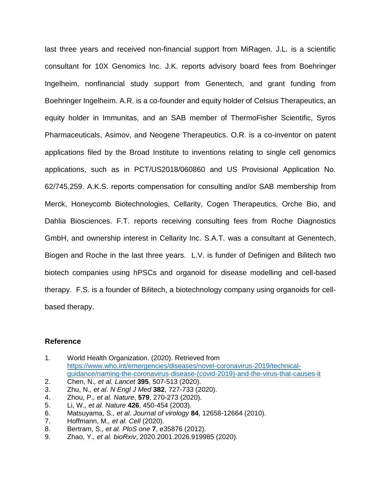last three years and received non-financial support from MiRagen. J.L. is a scientific consultant for 10X Genomics Inc. J.K. reports advisory board fees from Boehringer Ingelheim, nonfinancial study support from Genentech, and grant funding from Boehringer Ingelheim. A.R. is a co-founder and equity holder of Celsius Therapeutics, an equity holder in Immunitas, and an SAB member of ThermoFisher Scientific, Syros Pharmaceuticals, Asimov, and Neogene Therapeutics. O.R. is a co-inventor on patent applications filed by the Broad Institute to inventions relating to single cell genomics applications, such as in PCT/US2018/060860 and US Provisional Application No. 62/745,259. A.K.S. reports compensation for consulting and/or SAB membership from Merck, Honeycomb Biotechnologies, Cellarity, Cogen Therapeutics, Orche Bio, and Dahlia Biosciences. F.T. reports receiving consulting fees from Roche Diagnostics GmbH, and ownership interest in Cellarity Inc. S.A.T. was a consultant at Genentech, Biogen and Roche in the last three years. L.V. is funder of Definigen and Bilitech two biotech companies using hPSCs and organoid for disease modelling and cell-based therapy. F.S. is a founder of Bilitech, a biotechnology company using organoids for cellbased therapy.

#### **Reference**

- 1. World Health Organization. (2020). Retrieved from [https://www.who.int/emergencies/diseases/novel-coronavirus-2019/technical](https://www.who.int/emergencies/diseases/novel-coronavirus-2019/technical-guidance/naming-the-coronavirus-disease-(covid-2019)-and-the-virus-that-causes-it)[guidance/naming-the-coronavirus-disease-\(covid-2019\)-and-the-virus-that-causes-it](https://www.who.int/emergencies/diseases/novel-coronavirus-2019/technical-guidance/naming-the-coronavirus-disease-(covid-2019)-and-the-virus-that-causes-it)
- 2. Chen, N.*, et al. Lancet* **395**, 507-513 (2020).
- 3. Zhu, N.*, et al*. *N Engl J Med* **382**, 727-733 (2020).
- 4. Zhou, P.*, et al. Nature*, **579**, 270-273 (2020).
- 5. Li, W.*, et al. Nature* **426**, 450-454 (2003).
- 6. Matsuyama, S.*, et al. Journal of virology* **84**, 12658-12664 (2010).
- 7. Hoffmann, M.*, et al. Cell* (2020).
- 8. Bertram, S.*, et al. PloS one* **7**, e35876 (2012).
- 9. Zhao, Y.*, et al. bioRxiv*, 2020.2001.2026.919985 (2020).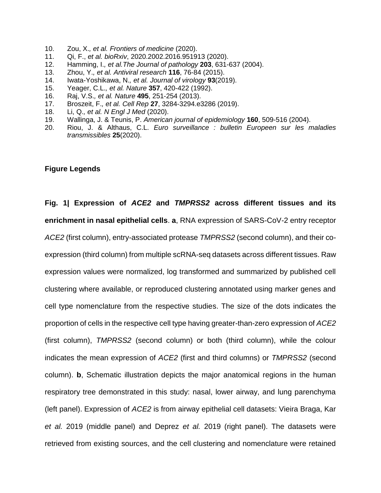- 10. Zou, X.*, et al. Frontiers of medicine* (2020).
- 11. Qi, F., *et al. bioRxiv*, 2020.2002.2016.951913 (2020).
- 12. Hamming, I.*, et al.The Journal of pathology* **203**, 631-637 (2004).
- 13. Zhou, Y.*, et al. Antiviral research* **116**, 76-84 (2015).
- 14. Iwata-Yoshikawa, N.*, et al. Journal of virology* **93**(2019).
- 15. Yeager, C.L.*, et al. Nature* **357**, 420-422 (1992).
- 16. Raj, V.S.*, et al. Nature* **495**, 251-254 (2013).
- 17. Broszeit, F.*, et al. Cell Rep* **27**, 3284-3294.e3286 (2019).
- 18. Li, Q.*, et al. N Engl J Med* (2020).
- 19. Wallinga, J. & Teunis, P. *American journal of epidemiology* **160**, 509-516 (2004).
- 20. Riou, J. & Althaus, C.L. *Euro surveillance : bulletin Europeen sur les maladies transmissibles* **25**(2020).

## **Figure Legends**

**Fig. 1| Expression of** *ACE2* **and** *TMPRSS2* **across different tissues and its enrichment in nasal epithelial cells**. **a**, RNA expression of SARS-CoV-2 entry receptor *ACE2* (first column), entry-associated protease *TMPRSS2* (second column), and their coexpression (third column) from multiple scRNA-seq datasets across different tissues. Raw expression values were normalized, log transformed and summarized by published cell clustering where available, or reproduced clustering annotated using marker genes and cell type nomenclature from the respective studies. The size of the dots indicates the proportion of cells in the respective cell type having greater-than-zero expression of *ACE2* (first column), *TMPRSS2* (second column) or both (third column), while the colour indicates the mean expression of *ACE2* (first and third columns) or *TMPRSS2* (second column). **b**, Schematic illustration depicts the major anatomical regions in the human respiratory tree demonstrated in this study: nasal, lower airway, and lung parenchyma (left panel). Expression of *ACE2* is from airway epithelial cell datasets: Vieira Braga, Kar *et al.* 2019 (middle panel) and Deprez *et al.* 2019 (right panel). The datasets were retrieved from existing sources, and the cell clustering and nomenclature were retained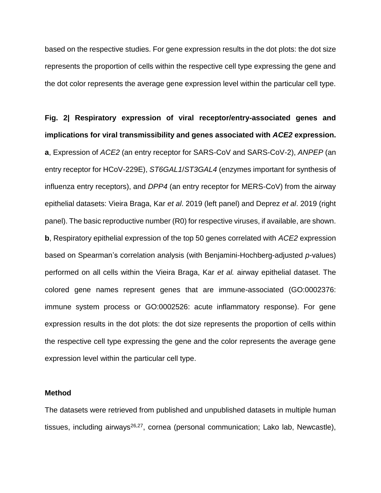based on the respective studies. For gene expression results in the dot plots: the dot size represents the proportion of cells within the respective cell type expressing the gene and the dot color represents the average gene expression level within the particular cell type.

**Fig. 2| Respiratory expression of viral receptor/entry-associated genes and implications for viral transmissibility and genes associated with** *ACE2* **expression. a**, Expression of *ACE2* (an entry receptor for SARS-CoV and SARS-CoV-2), *ANPEP* (an entry receptor for HCoV-229E), *ST6GAL1*/*ST3GAL4* (enzymes important for synthesis of influenza entry receptors), and *DPP4* (an entry receptor for MERS-CoV) from the airway epithelial datasets: Vieira Braga, Kar *et al*. 2019 (left panel) and Deprez *et al*. 2019 (right panel). The basic reproductive number (R0) for respective viruses, if available, are shown. **b**, Respiratory epithelial expression of the top 50 genes correlated with *ACE2* expression based on Spearman's correlation analysis (with Benjamini-Hochberg-adjusted *p*-values) performed on all cells within the Vieira Braga, Kar *et al.* airway epithelial dataset. The colored gene names represent genes that are immune-associated (GO:0002376: immune system process or GO:0002526: acute inflammatory response). For gene expression results in the dot plots: the dot size represents the proportion of cells within the respective cell type expressing the gene and the color represents the average gene expression level within the particular cell type.

#### **Method**

The datasets were retrieved from published and unpublished datasets in multiple human tissues, including airways $26,27$ , cornea (personal communication; Lako lab, Newcastle),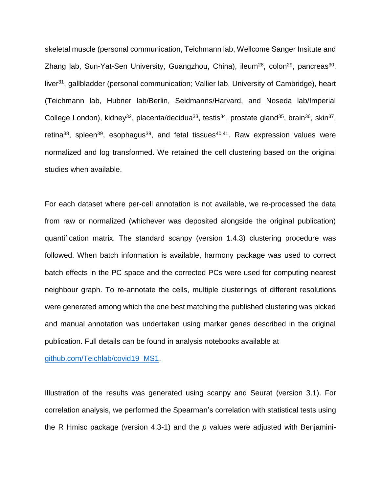skeletal muscle (personal communication, Teichmann lab, Wellcome Sanger Insitute and Zhang lab, Sun-Yat-Sen University, Guangzhou, China), ileum<sup>28</sup>, colon<sup>29</sup>, pancreas<sup>30</sup>, liver<sup>31</sup>, gallbladder (personal communication; Vallier lab, University of Cambridge), heart (Teichmann lab, Hubner lab/Berlin, Seidmanns/Harvard, and Noseda lab/Imperial College London), kidney<sup>32</sup>, placenta/decidua<sup>33</sup>, testis<sup>34</sup>, prostate gland<sup>35</sup>, brain<sup>36</sup>, skin<sup>37</sup>, retina<sup>38</sup>, spleen<sup>39</sup>, esophagus<sup>39</sup>, and fetal tissues<sup>40,41</sup>. Raw expression values were normalized and log transformed. We retained the cell clustering based on the original studies when available.

For each dataset where per-cell annotation is not available, we re-processed the data from raw or normalized (whichever was deposited alongside the original publication) quantification matrix. The standard scanpy (version 1.4.3) clustering procedure was followed. When batch information is available, harmony package was used to correct batch effects in the PC space and the corrected PCs were used for computing nearest neighbour graph. To re-annotate the cells, multiple clusterings of different resolutions were generated among which the one best matching the published clustering was picked and manual annotation was undertaken using marker genes described in the original publication. Full details can be found in analysis notebooks available at

[github.com/Teichlab/covid19\\_MS1.](https://github.com/Teichlab/covid19_MS1)

Illustration of the results was generated using scanpy and Seurat (version 3.1). For correlation analysis, we performed the Spearman's correlation with statistical tests using the R Hmisc package (version 4.3-1) and the *p* values were adjusted with Benjamini-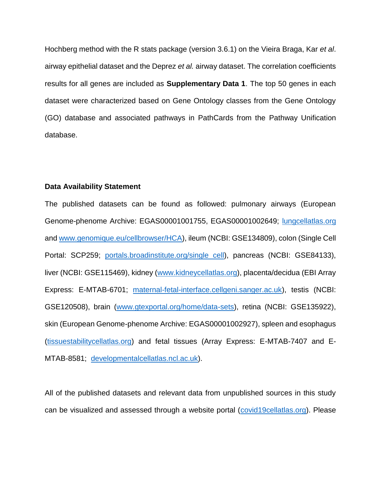Hochberg method with the R stats package (version 3.6.1) on the Vieira Braga, Kar *et al*. airway epithelial dataset and the Deprez *et al.* airway dataset. The correlation coefficients results for all genes are included as **Supplementary Data 1**. The top 50 genes in each dataset were characterized based on Gene Ontology classes from the Gene Ontology (GO) database and associated pathways in PathCards from the Pathway Unification database.

### **Data Availability Statement**

The published datasets can be found as followed: pulmonary airways (European Genome-phenome Archive: EGAS00001001755, EGAS00001002649; [lungcellatlas.org](http://lungcellatlas.org/) an[d www.genomique.eu/cellbrowser/HCA\)](http://www.genomique.eu/cellbrowser/HCA), ileum (NCBI: GSE134809), colon (Single Cell Portal: SCP259; [portals.broadinstitute.org/single\\_cell\)](http://www.portals.broadinstitute.org/single_cell), pancreas (NCBI: GSE84133), liver (NCBI: GSE115469), kidney [\(www.kidneycellatlas.org\)](http://www.kidneycellatlas.org/), placenta/decidua (EBI Array Express: E-MTAB-6701; [maternal-fetal-interface.cellgeni.sanger.ac.uk\)](http://www.maternal-fetal-interface.cellgeni.sanger.ac.uk/), testis (NCBI: GSE120508), brain [\(www.gtexportal.org/home/data-sets\)](http://www.gtexportal.org/home/data-sets), retina (NCBI: GSE135922), skin (European Genome-phenome Archive: EGAS00001002927), spleen and esophagus [\(tissuestabilitycellatlas.org\)](http://www.tissuestabilitycellatlas.org/) and fetal tissues (Array Express: E-MTAB-7407 and E-MTAB-8581; [developmentalcellatlas.ncl.ac.uk\)](http://www.developmentalcellatlas.ncl.ac.uk/).

All of the published datasets and relevant data from unpublished sources in this study can be visualized and assessed through a website portal [\(covid19cellatlas.org\)](http://www.covid19cellatlas.org/). Please